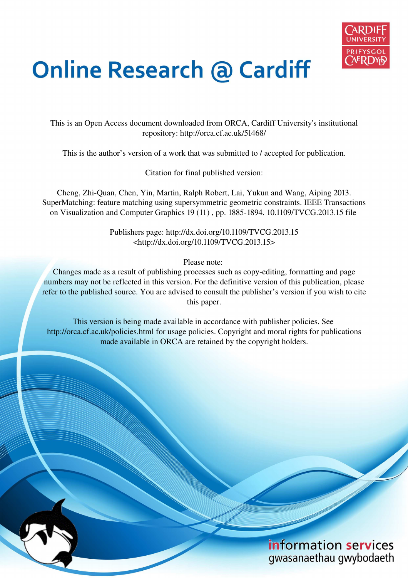

# **Online Research @ Cardiff**

This is an Open Access document downloaded from ORCA, Cardiff University's institutional repository: http://orca.cf.ac.uk/51468/

This is the author's version of a work that was submitted to / accepted for publication.

Citation for final published version:

Cheng, Zhi-Quan, Chen, Yin, Martin, Ralph Robert, Lai, Yukun and Wang, Aiping 2013. SuperMatching: feature matching using supersymmetric geometric constraints. IEEE Transactions on Visualization and Computer Graphics 19 (11) , pp. 1885-1894. 10.1109/TVCG.2013.15 file

> Publishers page: http://dx.doi.org/10.1109/TVCG.2013.15 <http://dx.doi.org/10.1109/TVCG.2013.15>

> > Please note:

Changes made as a result of publishing processes such as copy-editing, formatting and page numbers may not be reflected in this version. For the definitive version of this publication, please refer to the published source. You are advised to consult the publisher's version if you wish to cite this paper.

This version is being made available in accordance with publisher policies. See http://orca.cf.ac.uk/policies.html for usage policies. Copyright and moral rights for publications made available in ORCA are retained by the copyright holders.

> information services gwasanaethau gwybodaeth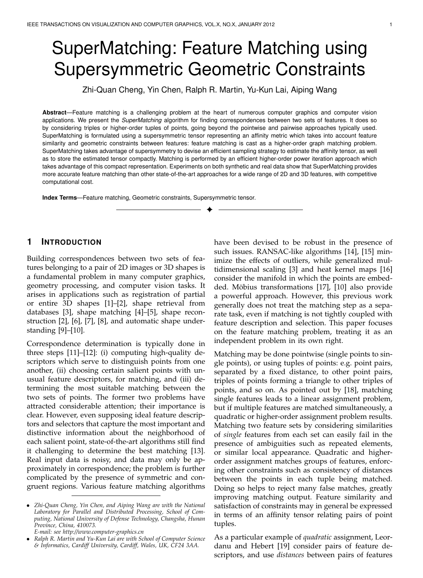# SuperMatching: Feature Matching using Supersymmetric Geometric Constraints

Zhi-Quan Cheng, Yin Chen, Ralph R. Martin, Yu-Kun Lai, Aiping Wang

**Abstract**—Feature matching is a challenging problem at the heart of numerous computer graphics and computer vision applications. We present the *SuperMatching* algorithm for finding correspondences between two sets of features. It does so by considering triples or higher-order tuples of points, going beyond the pointwise and pairwise approaches typically used. SuperMatching is formulated using a supersymmetric tensor representing an affinity metric which takes into account feature similarity and geometric constraints between features: feature matching is cast as a higher-order graph matching problem. SuperMatching takes advantage of supersymmetry to devise an efficient sampling strategy to estimate the affinity tensor, as well as to store the estimated tensor compactly. Matching is performed by an efficient higher-order power iteration approach which takes advantage of this compact representation. Experiments on both synthetic and real data show that SuperMatching provides more accurate feature matching than other state-of-the-art approaches for a wide range of 2D and 3D features, with competitive computational cost.

✦

**Index Terms**—Feature matching, Geometric constraints, Supersymmetric tensor.

# **1 INTRODUCTION**

Building correspondences between two sets of features belonging to a pair of 2D images or 3D shapes is a fundamental problem in many computer graphics, geometry processing, and computer vision tasks. It arises in applications such as registration of partial or entire 3D shapes [1]–[2], shape retrieval from databases [3], shape matching [4]–[5], shape reconstruction [2], [6], [7], [8], and automatic shape understanding [9]–[10].

Correspondence determination is typically done in three steps [11]–[12]: (i) computing high-quality descriptors which serve to distinguish points from one another, (ii) choosing certain salient points with unusual feature descriptors, for matching, and (iii) determining the most suitable matching between the two sets of points. The former two problems have attracted considerable attention; their importance is clear. However, even supposing ideal feature descriptors and selectors that capture the most important and distinctive information about the neighborhood of each salient point, state-of-the-art algorithms still find it challenging to determine the best matching [13]. Real input data is noisy, and data may only be approximately in correspondence; the problem is further complicated by the presence of symmetric and congruent regions. Various feature matching algorithms have been devised to be robust in the presence of such issues. RANSAC-like algorithms [14], [15] minimize the effects of outliers, while generalized multidimensional scaling [3] and heat kernel maps [16] consider the manifold in which the points are embedded. Möbius transformations [17], [10] also provide a powerful approach. However, this previous work generally does not treat the matching step as a separate task, even if matching is not tightly coupled with feature description and selection. This paper focuses on the feature matching problem, treating it as an independent problem in its own right.

Matching may be done pointwise (single points to single points), or using tuples of points: e.g. point pairs, separated by a fixed distance, to other point pairs, triples of points forming a triangle to other triples of points, and so on. As pointed out by [18], matching single features leads to a linear assignment problem, but if multiple features are matched simultaneously, a quadratic or higher-order assignment problem results. Matching two feature sets by considering similarities of *single* features from each set can easily fail in the presence of ambiguities such as repeated elements, or similar local appearance. Quadratic and higherorder assignment matches groups of features, enforcing other constraints such as consistency of distances between the points in each tuple being matched. Doing so helps to reject many false matches, greatly improving matching output. Feature similarity and satisfaction of constraints may in general be expressed in terms of an affinity tensor relating pairs of point tuples.

As a particular example of *quadratic* assignment, Leordanu and Hebert [19] consider pairs of feature descriptors, and use *distances* between pairs of features

<sup>•</sup> *Zhi-Quan Cheng, Yin Chen, and Aiping Wang are with the National Laboratory for Parallel and Distributed Processing, School of Computing, National University of Defense Technology, Changsha, Hunan Province, China, 410073.*

*E-mail: see http://www.computer-graphics.cn*

<sup>•</sup> *Ralph R. Martin and Yu-Kun Lai are with School of Computer Science & Informatics, Cardiff University, Cardiff, Wales, UK, CF24 3AA.*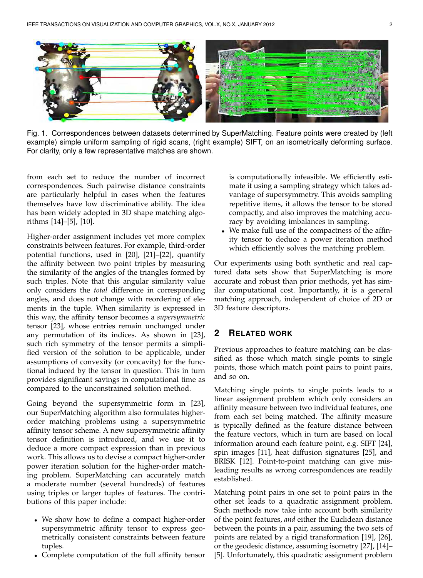

Fig. 1. Correspondences between datasets determined by SuperMatching. Feature points were created by (left example) simple uniform sampling of rigid scans, (right example) SIFT, on an isometrically deforming surface. For clarity, only a few representative matches are shown.

from each set to reduce the number of incorrect correspondences. Such pairwise distance constraints are particularly helpful in cases when the features themselves have low discriminative ability. The idea has been widely adopted in 3D shape matching algorithms [14]–[5], [10].

Higher-order assignment includes yet more complex constraints between features. For example, third-order potential functions, used in [20], [21]–[22], quantify the affinity between two point triples by measuring the similarity of the angles of the triangles formed by such triples. Note that this angular similarity value only considers the *total* difference in corresponding angles, and does not change with reordering of elements in the tuple. When similarity is expressed in this way, the affinity tensor becomes a *supersymmetric* tensor [23], whose entries remain unchanged under any permutation of its indices. As shown in [23], such rich symmetry of the tensor permits a simplified version of the solution to be applicable, under assumptions of convexity (or concavity) for the functional induced by the tensor in question. This in turn provides significant savings in computational time as compared to the unconstrained solution method.

Going beyond the supersymmetric form in [23], our SuperMatching algorithm also formulates higherorder matching problems using a supersymmetric affinity tensor scheme. A new supersymmetric affinity tensor definition is introduced, and we use it to deduce a more compact expression than in previous work. This allows us to devise a compact higher-order power iteration solution for the higher-order matching problem. SuperMatching can accurately match a moderate number (several hundreds) of features using triples or larger tuples of features. The contributions of this paper include:

- We show how to define a compact higher-order supersymmetric affinity tensor to express geometrically consistent constraints between feature tuples.
- Complete computation of the full affinity tensor

is computationally infeasible. We efficiently estimate it using a sampling strategy which takes advantage of supersymmetry. This avoids sampling repetitive items, it allows the tensor to be stored compactly, and also improves the matching accuracy by avoiding imbalances in sampling.

• We make full use of the compactness of the affinity tensor to deduce a power iteration method which efficiently solves the matching problem.

Our experiments using both synthetic and real captured data sets show that SuperMatching is more accurate and robust than prior methods, yet has similar computational cost. Importantly, it is a general matching approach, independent of choice of 2D or 3D feature descriptors.

# **2 RELATED WORK**

Previous approaches to feature matching can be classified as those which match single points to single points, those which match point pairs to point pairs, and so on.

Matching single points to single points leads to a linear assignment problem which only considers an affinity measure between two individual features, one from each set being matched. The affinity measure is typically defined as the feature distance between the feature vectors, which in turn are based on local information around each feature point, e.g. SIFT [24], spin images [11], heat diffusion signatures [25], and BRISK [12]. Point-to-point matching can give misleading results as wrong correspondences are readily established.

Matching point pairs in one set to point pairs in the other set leads to a quadratic assignment problem. Such methods now take into account both similarity of the point features, *and* either the Euclidean distance between the points in a pair, assuming the two sets of points are related by a rigid transformation [19], [26], or the geodesic distance, assuming isometry [27], [14]– [5]. Unfortunately, this quadratic assignment problem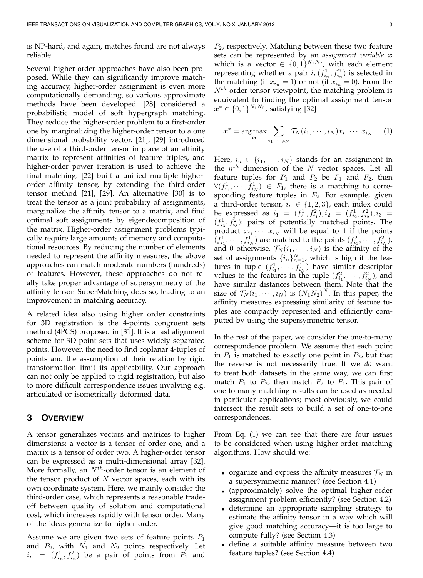is NP-hard, and again, matches found are not always reliable.

Several higher-order approaches have also been proposed. While they can significantly improve matching accuracy, higher-order assignment is even more computationally demanding, so various approximate methods have been developed. [28] considered a probabilistic model of soft hypergraph matching. They reduce the higher-order problem to a first-order one by marginalizing the higher-order tensor to a one dimensional probability vector. [21], [29] introduced the use of a third-order tensor in place of an affinity matrix to represent affinities of feature triples, and higher-order power iteration is used to achieve the final matching. [22] built a unified multiple higherorder affinity tensor, by extending the third-order tensor method [21], [29]. An alternative [30] is to treat the tensor as a joint probability of assignments, marginalize the affinity tensor to a matrix, and find optimal soft assignments by eigendecomposition of the matrix. Higher-order assignment problems typically require large amounts of memory and computational resources. By reducing the number of elements needed to represent the affinity measures, the above approaches can match moderate numbers (hundreds) of features. However, these approaches do not really take proper advantage of supersymmetry of the affinity tensor. SuperMatching does so, leading to an improvement in matching accuracy.

A related idea also using higher order constraints for 3D registration is the 4-points congruent sets method (4PCS) proposed in [31]. It is a fast alignment scheme for 3D point sets that uses widely separated points. However, the need to find coplanar 4-tuples of points and the assumption of their relation by rigid transformation limit its applicability. Our approach can not only be applied to rigid registration, but also to more difficult correspondence issues involving e.g. articulated or isometrically deformed data.

# **3 OVERVIEW**

A tensor generalizes vectors and matrices to higher dimensions: a vector is a tensor of order one, and a matrix is a tensor of order two. A higher-order tensor can be expressed as a multi-dimensional array [32]. More formally, an  $N^{th}$ -order tensor is an element of the tensor product of  $N$  vector spaces, each with its own coordinate system. Here, we mainly consider the third-order case, which represents a reasonable tradeoff between quality of solution and computational cost, which increases rapidly with tensor order. Many of the ideas generalize to higher order.

Assume we are given two sets of feature points  $P_1$ and  $P_2$ , with  $N_1$  and  $N_2$  points respectively. Let  $i_n = (f_{i_n}^1, f_{i_n}^2)$  be a pair of points from  $P_1$  and

 $P_2$ , respectively. Matching between these two feature sets can be represented by an *assignment variable* x which is a vector  $\in \{0,1\}^{N_1N_2}$ , with each element representing whether a pair  $i_n(f_{i_n}^1, f_{i_n}^2)$  is selected in the matching (if  $x_{i_n} = 1$ ) or not (if  $x_{i_n} = 0$ ). From the  $N^{th}$ -order tensor viewpoint, the matching problem is equivalent to finding the optimal assignment tensor  $x^* \in \{0, 1\}^{N_1 N_2}$ , satisfying [32]

$$
\boldsymbol{x}^* = \arg \max_{\boldsymbol{x}} \sum_{i_1, \cdots, i_N} \mathcal{T}_N(i_1, \cdots, i_N) x_{i_1} \cdots x_{i_N}.
$$
 (1)

Here,  $i_n \in \{i_1, \dots, i_N\}$  stands for an assignment in the  $n^{th}$  dimension of the N vector spaces. Let all feature tuples for  $P_1$  and  $P_2$  be  $F_1$  and  $F_2$ , then  $\forall (f_{i_1}^1,\cdots,f_{i_N}^1) \in F_1$ , there is a matching to corresponding feature tuples in  $F_2$ . For example, given a third-order tensor,  $i_n \in \{1, 2, 3\}$ , each index could be expressed as  $i_1 = (f_{i_1}^1, f_{i_1}^2), i_2 = (f_{i_2}^1, f_{i_2}^2), i_3 =$  $(f_{i_3}^1, f_{i_3}^2)$ : pairs of potentially matched points. The product  $x_{i_1} \cdots x_{i_N}$  will be equal to 1 if the points  $(f_{i_1}^1, \dots, f_{i_N}^1)$  are matched to the points  $(f_{i_1}^2, \dots, f_{i_N}^2)$ , and 0 otherwise.  $\mathcal{T}_N(i_1,\cdots,i_N)$  is the affinity of the set of assignments  $\{i_n\}_{n=1}^N$ , which is high if the features in tuple  $(f_{i_1}^1, \dots, f_{i_N}^1)$  have similar descriptor values to the features in the tuple  $(f_{i_1}^2, \dots, f_{i_N}^2)$ , and have similar distances between them. Note that the size of  $\mathcal{T}_N(i_1,\cdots,i_N)$  is  $\left(N_1N_2\right)^N$ . In this paper, the affinity measures expressing similarity of feature tuples are compactly represented and efficiently computed by using the supersymmetric tensor.

In the rest of the paper, we consider the one-to-many correspondence problem. We assume that each point in  $P_1$  is matched to exactly one point in  $P_2$ , but that the reverse is not necessarily true. If we *do* want to treat both datasets in the same way, we can first match  $P_1$  to  $P_2$ , then match  $P_2$  to  $P_1$ . This pair of one-to-many matching results can be used as needed in particular applications; most obviously, we could intersect the result sets to build a set of one-to-one correspondences.

From Eq. (1) we can see that there are four issues to be considered when using higher-order matching algorithms. How should we:

- organize and express the affinity measures  $\mathcal{T}_N$  in a supersymmetric manner? (see Section 4.1)
- (approximately) solve the optimal higher-order assignment problem efficiently? (see Section 4.2)
- determine an appropriate sampling strategy to estimate the affinity tensor in a way which will give good matching accuracy—it is too large to compute fully? (see Section 4.3)
- define a suitable affinity measure between two feature tuples? (see Section 4.4)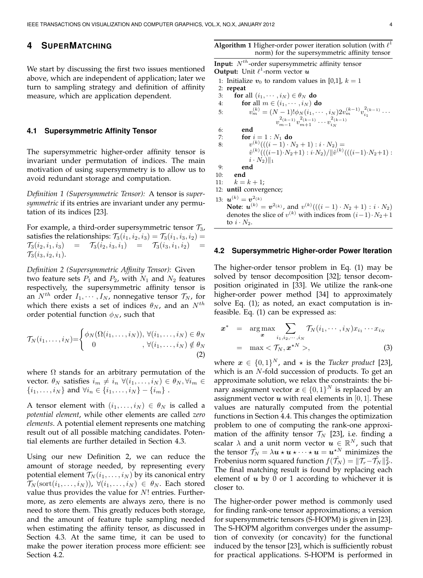# **4 SUPERMATCHING**

We start by discussing the first two issues mentioned above, which are independent of application; later we turn to sampling strategy and definition of affinity measure, which are application dependent.

#### **4.1 Supersymmetric Affinity Tensor**

The supersymmetric higher-order affinity tensor is invariant under permutation of indices. The main motivation of using supersymmetry is to allow us to avoid redundant storage and computation.

*Definition 1 (Supersymmetric Tensor):* A tensor is *supersymmetric* if its entries are invariant under any permutation of its indices [23].

For example, a third-order supersymmetric tensor  $\mathcal{T}_{3}$ , satisfies the relationships:  $\mathcal{T}_3(i_1, i_2, i_3) = \mathcal{T}_3(i_1, i_3, i_2) =$  $\mathcal{T}_3(i_2, i_1, i_3) = \mathcal{T}_3(i_2, i_3, i_1) = \mathcal{T}_3(i_3, i_1, i_2)$  $\mathcal{T}_3(i_3, i_2, i_1).$ 

*Definition 2 (Supersymmetric Affinity Tensor):* Given two feature sets  $P_1$  and  $P_2$ , with  $N_1$  and  $N_2$  features respectively, the supersymmetric affinity tensor is an  $N^{th}$  order  $I_1, \cdots, I_N$ , nonnegative tensor  $\mathcal{T}_N$ , for which there exists a set of indices  $\theta_N$ , and an  $N^{th}$ order potential function  $\phi_N$ , such that

$$
\mathcal{T}_N(i_1,\ldots,i_N) = \begin{cases} \phi_N(\Omega(i_1,\ldots,i_N)), \ \forall (i_1,\ldots,i_N) \in \theta_N \\ 0, \ \forall (i_1,\ldots,i_N) \notin \theta_N \\ (2) \end{cases}
$$

where  $\Omega$  stands for an arbitrary permutation of the vector.  $\theta_N$  satisfies  $i_m \neq i_n \ \forall (i_1, \ldots, i_N) \in \theta_N, \forall i_m \in$  $\{i_1, \ldots, i_N\}$  and  $\forall i_n \in \{i_1, \ldots, i_N\} - \{i_m\}$ .

A tensor element with  $(i_1, \ldots, i_N) \in \theta_N$  is called a *potential element*, while other elements are called *zero elements*. A potential element represents one matching result out of all possible matching candidates. Potential elements are further detailed in Section 4.3.

Using our new Definition 2, we can reduce the amount of storage needed, by representing every potential element  $\mathcal{T}_N(i_1,\ldots,i_N)$  by its canonical entry  $\mathcal{T}_N(\text{sort}(i_1, \ldots, i_N))$ ,  $\forall (i_1, \ldots, i_N) \in \theta_N$ . Each stored value thus provides the value for  $N!$  entries. Furthermore, as zero elements are always zero, there is no need to store them. This greatly reduces both storage, and the amount of feature tuple sampling needed when estimating the affinity tensor, as discussed in Section 4.3. At the same time, it can be used to make the power iteration process more efficient: see Section 4.2.

**Algorithm 1** Higher-order power iteration solution (with  $\ell^1$ norm) for the supersymmetric affinity tensor

Input:  $N^{th}$ -order supersymmetric affinity tensor **Output:** Unit  $\ell^1$ -norm vector  $\boldsymbol{u}$ 1: Initialize  $v_0$  to random values in [0,1],  $k = 1$ 2: **repeat** 3: **for** all  $(i_1, \dots, i_N) \in \theta_N$  **do** 4: **for** all  $m \in (i_1, \dots, i_N)$  **do** 5:  $v_m^{(k)} = (N-1)! \phi_N(i_1, \dots, i_N) 2 v_m^{(k-1)} v_{i_1}^{2(k-1)} \dots$  $v^{2(k-1)}_{m-1}v^{2(k-1)}_{m+1}\cdots v^{2(k-1)}_{i_N}$ 6: **end** 7: **for**  $i = 1 : N_1$  **do** 8:  $v^{(k)}(((i - 1) \cdot N_2 + 1) : i \cdot N_2) =$  $\hat{v}^{(k)}((i-1)N_2+1):iN_2)/\|\hat{v}^{(k)}(((i-1)N_2+1):$  $i \cdot N_2$ ||1 9: **end** 10: **end** 11:  $k = k + 1;$ 12: **until** convergence; 13:  $\bm{u}^{(k)} = \bm{v}^{2(k)}$ **Note:**  $u^{(k)} = v^{2(k)}$ , and  $v^{(k)}(((i - 1) \cdot N_2 + 1) : i \cdot N_2)$ denotes the slice of  $v^{(k)}$  with indices from  $(i-1) \cdot N_2 + 1$ to  $i \cdot N_2$ .

#### **4.2 Supersymmetric Higher-order Power Iteration**

The higher-order tensor problem in Eq. (1) may be solved by tensor decomposition [32]; tensor decomposition originated in [33]. We utilize the rank-one higher-order power method [34] to approximately solve Eq. (1); as noted, an exact computation is infeasible. Eq. (1) can be expressed as:

$$
\boldsymbol{x}^* = \arg \max_{\boldsymbol{x}} \sum_{i_1, i_2, \cdots, i_N} \mathcal{T}_N(i_1, \cdots, i_N) x_{i_1} \cdots x_{i_N}
$$

$$
= \max \langle \mathcal{T}_N, \boldsymbol{x}^{\star N} \rangle, \tag{3}
$$

where  $\boldsymbol{x} \in \{0,1\}^N$ , and  $\star$  is the *Tucker product* [23], which is an  $N$ -fold succession of products. To get an approximate solution, we relax the constraints: the binary assignment vector  $\boldsymbol{x} \in \{0,1\}^N$  is replaced by an assignment vector  $u$  with real elements in [0, 1]. These values are naturally computed from the potential functions in Section 4.4. This changes the optimization problem to one of computing the rank-one approximation of the affinity tensor  $\mathcal{T}_N$  [23], i.e. finding a scalar  $\lambda$  and a unit norm vector  $\boldsymbol{u} \in \mathbb{R}^N$ , such that the tensor  $\hat{\mathcal{T}_N} = \lambda \boldsymbol{u} \star \boldsymbol{u} \star \dots \star \boldsymbol{u} = \boldsymbol{u}^{\star N}$  minimizes the Frobenius norm squared function  $f(\hat{\mathcal{T}}_N) = \|\mathcal{T}_r - \hat{\mathcal{T}}_N\|_F^2$ . The final matching result is found by replacing each element of  $u$  by 0 or 1 according to whichever it is closer to.

The higher-order power method is commonly used for finding rank-one tensor approximations; a version for supersymmetric tensors (S-HOPM) is given in [23]. The S-HOPM algorithm converges under the assumption of convexity (or concavity) for the functional induced by the tensor [23], which is sufficiently robust for practical applications. S-HOPM is performed in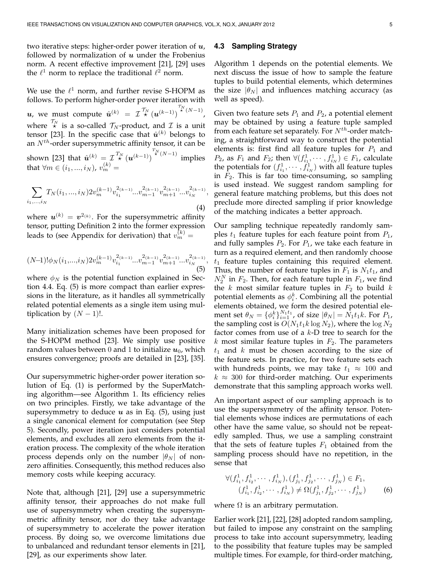two iterative steps: higher-order power iteration of  $u$ , followed by normalization of  $u$  under the Frobenius norm. A recent effective improvement [21], [29] uses the  $\ell^1$  norm to replace the traditional  $\ell^2$  norm.

We use the  $\ell^1$  norm, and further revise S-HOPM as follows. To perform higher-order power iteration with u, we must compute  $\hat{u}^{(k)} = \mathcal{I}_{\star}^{\mathcal{T}_N} (u^{(k-1)})^{\mathcal{T}_N(N-1)}$ where  $\stackrel{\mathcal{T}_N}{\star}$  is a so-called  $\mathcal{T}_N$ -product, and  $\mathcal I$  is a unit tensor [23]. In the specific case that  $\hat{u}^{(k)}$  belongs to an  $N^{th}$ -order supersymmetric affinity tensor, it can be shown [23] that  $\hat{u}^{(k)} = \mathcal{I}^{T_N}_\star(u^{(k-1)})^{\mathcal{T}_N^N(N-1)}$  implies that  $\forall m \in (i_1, ..., i_N)$ ,  $v_m^{(k)} =$ 

$$
\sum_{i_1,\ldots,i_N} T_N(i_1,\ldots,i_N) 2v_m^{(k-1)} v_{i_1}^{2(k-1)} \ldots v_{m-1}^{2(k-1)} v_{m+1}^{2(k-1)} \ldots v_{i_N}^{2(k-1)},
$$
\n(4)

where  $\boldsymbol{u}^{(k)}=\boldsymbol{v}^{2_{(k)}}.$  For the supersymmetric affinity tensor, putting Definition 2 into the former expression leads to (see Appendix for derivation) that  $v_m^{(k)} =$ 

$$
(N-1)! \phi_N(i_1,...,i_N) 2v_m^{(k-1)} v_{i_1}^{2(k-1)} \dots v_{m-1}^{2(k-1)} v_{m+1}^{2(k-1)} \dots v_{i_N}^{2(k-1)},
$$
\n(5)

where  $\phi_N$  is the potential function explained in Section 4.4. Eq. (5) is more compact than earlier expressions in the literature, as it handles all symmetrically related potential elements as a single item using multiplication by  $(N - 1)!$ .

Many initialization schemes have been proposed for the S-HOPM method [23]. We simply use positive random values between 0 and 1 to initialize  $u_0$ , which ensures convergence; proofs are detailed in [23], [35].

Our supersymmetric higher-order power iteration solution of Eq. (1) is performed by the SuperMatching algorithm—see Algorithm 1. Its efficiency relies on two principles. Firstly, we take advantage of the supersymmetry to deduce  $u$  as in Eq. (5), using just a single canonical element for computation (see Step 5). Secondly, power iteration just considers potential elements, and excludes all zero elements from the iteration process. The complexity of the whole iteration process depends only on the number  $|\theta_N|$  of nonzero affinities. Consequently, this method reduces also memory costs while keeping accuracy.

Note that, although [21], [29] use a supersymmetric affinity tensor, their approaches do not make full use of supersymmetry when creating the supersymmetric affinity tensor, nor do they take advantage of supersymmetry to accelerate the power iteration process. By doing so, we overcome limitations due to unbalanced and redundant tensor elements in [21], [29], as our experiments show later.

# **4.3 Sampling Strategy**

Algorithm 1 depends on the potential elements. We next discuss the issue of how to sample the feature tuples to build potential elements, which determines the size  $|\theta_N|$  and influences matching accuracy (as well as speed).

Given two feature sets  $P_1$  and  $P_2$ , a potential element may be obtained by using a feature tuple sampled from each feature set separately. For  $N^{th}$ -order matching, a straightforward way to construct the potential elements is: first find all feature tuples for  $P_1$  and  $P_2$ , as  $F_1$  and  $F_2$ ; then  $\forall (f_{i_1}^1, \cdots, f_{i_N}^1) \in F_1$ , calculate the potentials for  $(f_{i_1}^1, \dots, f_{i_N}^1)$  with all feature tuples in  $F_2$ . This is far too time-consuming, so sampling is used instead. We suggest random sampling for general feature matching problems, but this does not preclude more directed sampling if prior knowledge of the matching indicates a better approach.

Our sampling technique repeatedly randomly samples  $t_1$  feature tuples for each feature point from  $P_1$ , and fully samples  $P_2$ . For  $P_1$ , we take each feature in turn as a required element, and then randomly choose  $t_1$  feature tuples containing this required element. Thus, the number of feature tuples in  $F_1$  is  $N_1t_1$ , and  $N_2^N$  in  $F_2$ . Then, for each feature tuple in  $F_1$ , we find the k most similar feature tuples in  $F_2$  to build k potential elements as  $\phi_i^k$ . Combining all the potential elements obtained, we form the desired potential element set  $\theta_N = {\phi_i^k}_{i=1}^{N_1 t_1}$ , of size  $|\theta_N| = \hat{N_1} t_1 k$ . For  $P_1$ , the sampling cost is  $O(N_1t_1k\log N_2)$ , where the  $\log N_2$ factor comes from use of a  $k$ -D tree to search for the  $k$  most similar feature tuples in  $F_2$ . The parameters  $t_1$  and k must be chosen according to the size of the feature sets. In practice, for two feature sets each with hundreds points, we may take  $t_1 \approx 100$  and  $k \approx 300$  for third-order matching. Our experiments demonstrate that this sampling approach works well.

An important aspect of our sampling approach is to use the supersymmetry of the affinity tensor. Potential elements whose indices are permutations of each other have the same value, so should not be repeatedly sampled. Thus, we use a sampling constraint that the sets of feature tuples  $F_1$  obtained from the sampling process should have no repetition, in the sense that

$$
\forall (f_{i_1}^1, f_{i_2}^1, \cdots, f_{i_N}^1), (f_{j_1}^1, f_{j_2}^1, \cdots, f_{j_N}^1) \in F_1, (f_{i_1}^1, f_{i_2}^1, \cdots, f_{i_N}^1) \neq \Omega(f_{j_1}^1, f_{j_2}^1, \cdots, f_{j_N}^1)
$$
(6)

where  $\Omega$  is an arbitrary permutation.

Earlier work [21], [22], [28] adopted random sampling, but failed to impose any constraint on the sampling process to take into account supersymmetry, leading to the possibility that feature tuples may be sampled multiple times. For example, for third-order matching,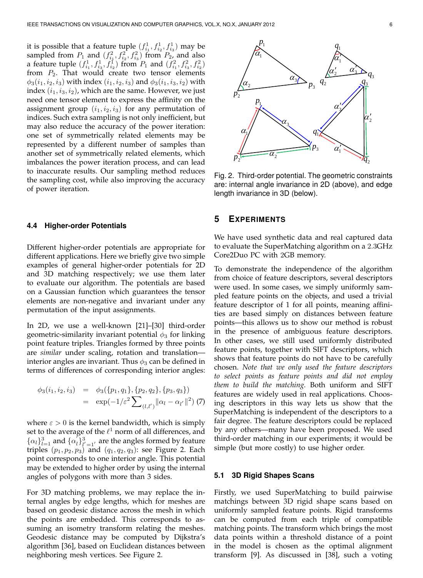it is possible that a feature tuple  $(f_{i_1}^1, f_{i_2}^1, f_{i_3}^1)$  may be sampled from  $P_1$  and  $(f_{i_1}^2, f_{i_2}^2, f_{i_3}^2)$  from  $P_2$ , and also a feature tuple  $(f_{i_1}^1, f_{i_3}^1, f_{i_2}^1)$  from  $P_1$  and  $(f_{i_1}^2, f_{i_3}^2, f_{i_2}^2)$ from  $P_2$ . That would create two tensor elements  $\phi_3(i_1, i_2, i_3)$  with index  $(i_1, i_2, i_3)$  and  $\phi_3(i_1, i_3, i_2)$  with index  $(i_1, i_3, i_2)$ , which are the same. However, we just need one tensor element to express the affinity on the assignment group  $(i_1, i_2, i_3)$  for any permutation of indices. Such extra sampling is not only inefficient, but may also reduce the accuracy of the power iteration: one set of symmetrically related elements may be represented by a different number of samples than another set of symmetrically related elements, which imbalances the power iteration process, and can lead to inaccurate results. Our sampling method reduces the sampling cost, while also improving the accuracy of power iteration.

#### **4.4 Higher-order Potentials**

Different higher-order potentials are appropriate for different applications. Here we briefly give two simple examples of general higher-order potentials for 2D and 3D matching respectively; we use them later to evaluate our algorithm. The potentials are based on a Gaussian function which guarantees the tensor elements are non-negative and invariant under any permutation of the input assignments.

In 2D, we use a well-known [21]–[30] third-order geometric-similarity invariant potential  $\phi_3$  for linking point feature triples. Triangles formed by three points are *similar* under scaling, rotation and translation interior angles are invariant. Thus  $\phi_3$  can be defined in terms of differences of corresponding interior angles:

$$
\begin{array}{rcl}\n\phi_3(i_1, i_2, i_3) & = & \phi_3(\{p_1, q_1\}, \{p_2, q_2\}, \{p_3, q_3\}) \\
& = & \exp(-1/\varepsilon^2 \sum_{(l, l')} \|\alpha_l - \alpha_{l'}\|^2)\n\end{array} (7)
$$

where  $\varepsilon > 0$  is the kernel bandwidth, which is simply set to the average of the  $\ell^1$  norm of all differences, and  $\{\alpha_l\}_{l=1}^3$  and  $\{\alpha_l\}$  $\int_{l}^{1}\big|_{l'=1}^{3}$  are the angles formed by feature triples  $(p_1, p_2, p_3)$  and  $(q_1, q_2, q_3)$ : see Figure 2. Each point corresponds to one interior angle. This potential may be extended to higher order by using the internal angles of polygons with more than 3 sides.

For 3D matching problems, we may replace the internal angles by edge lengths, which for meshes are based on geodesic distance across the mesh in which the points are embedded. This corresponds to assuming an isometry transform relating the meshes. Geodesic distance may be computed by Dijkstra's algorithm [36], based on Euclidean distances between neighboring mesh vertices. See Figure 2.



Fig. 2. Third-order potential. The geometric constraints are: internal angle invariance in 2D (above), and edge length invariance in 3D (below).

#### **5 EXPERIMENTS**

We have used synthetic data and real captured data to evaluate the SuperMatching algorithm on a 2.3GHz Core2Duo PC with 2GB memory.

To demonstrate the independence of the algorithm from choice of feature descriptors, several descriptors were used. In some cases, we simply uniformly sampled feature points on the objects, and used a trivial feature descriptor of 1 for all points, meaning affinities are based simply on distances between feature points—this allows us to show our method is robust in the presence of ambiguous feature descriptors. In other cases, we still used uniformly distributed feature points, together with SIFT descriptors, which shows that feature points do not have to be carefully chosen. *Note that we only used the feature descriptors to select points as feature points and did not employ them to build the matching.* Both uniform and SIFT features are widely used in real applications. Choosing descriptors in this way lets us show that the SuperMatching is independent of the descriptors to a fair degree. The feature descriptors could be replaced by any others—many have been proposed. We used third-order matching in our experiments; it would be simple (but more costly) to use higher order.

#### **5.1 3D Rigid Shapes Scans**

Firstly, we used SuperMatching to build pairwise matchings between 3D rigid shape scans based on uniformly sampled feature points. Rigid transforms can be computed from each triple of compatible matching points. The transform which brings the most data points within a threshold distance of a point in the model is chosen as the optimal alignment transform [9]. As discussed in [38], such a voting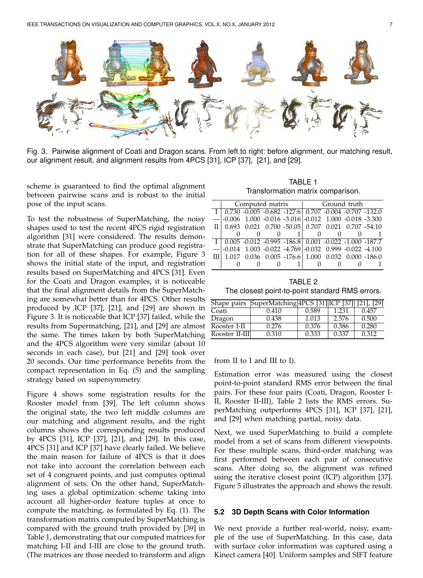

Fig. 3. Pairwise alignment of Coati and Dragon scans. From left to right: before alignment, our matching result, our alignment result, and alignment results from 4PCS [31], ICP [37], [21], and [29].

scheme is guaranteed to find the optimal alignment between pairwise scans and is robust to the initial pose of the input scans.

To test the robustness of SuperMatching, the noisy shapes used to test the recent 4PCS rigid registration algorithm [31] were considered. The results demonstrate that SuperMatching can produce good registration for all of these shapes. For example, Figure 3 shows the initial state of the input, and registration results based on SuperMatching and 4PCS [31]. Even for the Coati and Dragon examples, it is noticeable that the final alignment details from the SuperMatching are somewhat better than for 4PCS. Other results produced by ICP [37], [21], and [29] are shown in Figure 3. It is noticeable that ICP [37] failed, while the results from Supermatching, [21], and [29] are almost the same. The times taken by both SuperMatching and the 4PCS algorithm were very similar (about 10 seconds in each case), but [21] and [29] took over 20 seconds. Our time performance benefits from the compact representation in Eq. (5) and the sampling strategy based on supersymmetry.

Figure 4 shows some registration results for the Rooster model from [39]. The left column shows the original state, the two left middle columns are our matching and alignment results, and the right columns shows the corresponding results produced by 4PCS [31], ICP [37], [21], and [29]. In this case, 4PCS [31] and ICP [37] have clearly failed. We believe the main reason for failure of 4PCS is that it does not take into account the correlation between each set of 4 congruent points, and just computes optimal alignment of sets. On the other hand, SuperMatching uses a global optimization scheme taking into account all higher-order feature tuples at once to compute the matching, as formulated by Eq. (1). The transformation matrix computed by SuperMatching is compared with the ground truth provided by [39] in Table 1, demonstrating that our computed matrices for matching I-II and I-III are close to the ground truth. (The matrices are those needed to transform and align

TABLE 1 Transformation matrix comparison.

|    |  | Computed matrix                                                   | Ground truth |  |  |  |  |
|----|--|-------------------------------------------------------------------|--------------|--|--|--|--|
|    |  | $I   0.730 -0.005 -0.682 -127.6   0.707 -0.004 -0.707 -132.0$     |              |  |  |  |  |
|    |  | $-0.006$ 1.000 $-0.016$ $-3.016$ $-0.012$ 1.000 $-0.018$ $-3.300$ |              |  |  |  |  |
| ΠI |  | $0.693$ $0.021$ $0.700$ $-50.05$ $0.707$ $0.021$ $0.707$ $-54.10$ |              |  |  |  |  |
|    |  |                                                                   |              |  |  |  |  |
|    |  | $0.005 -0.012 -0.995 -186.8$ $0.001 -0.022 -1.000 -187.7$         |              |  |  |  |  |
|    |  | $-0.014$ 1.003 $-0.022$ $-4.769$ $-0.032$ 0.999 $-0.022$ $-4.100$ |              |  |  |  |  |
|    |  | $0.036$ $0.005$ $-176.6$ $1.000$ $0.032$ $0.000$ $-186.0$         |              |  |  |  |  |
|    |  |                                                                   |              |  |  |  |  |

TABLE 2 The closest point-to-point standard RMS errors.

|                | Shape pairs SuperMatching 4PCS [31] ICP [37] |       |                    | [29]  |
|----------------|----------------------------------------------|-------|--------------------|-------|
| Coati          | 0.410                                        | 0.589 | 1.231              | 0.457 |
| Dragon         | 0.438                                        | 1.013 | $2.5\overline{76}$ | 0.500 |
| Rooster I-II   | 0.276                                        | 0.376 | 0.386              | 0.280 |
| Rooster II-III | 0.310                                        | 0.333 | 0.337              | 0.312 |

from II to I and III to I).

Estimation error was measured using the closest point-to-point standard RMS error between the final pairs. For these four pairs (Coati, Dragon, Rooster I-II, Rooster II-III), Table 2 lists the RMS errors. SuperMatching outperforms 4PCS [31], ICP [37], [21], and [29] when matching partial, noisy data.

Next, we used SuperMatching to build a complete model from a set of scans from different viewpoints. For these multiple scans, third-order matching was first performed between each pair of consecutive scans. After doing so, the alignment was refined using the iterative closest point (ICP) algorithm [37]. Figure 5 illustrates the approach and shows the result.

#### **5.2 3D Depth Scans with Color Information**

We next provide a further real-world, noisy, example of the use of SuperMatching. In this case, data with surface color information was captured using a Kinect camera [40]. Uniform samples and SIFT feature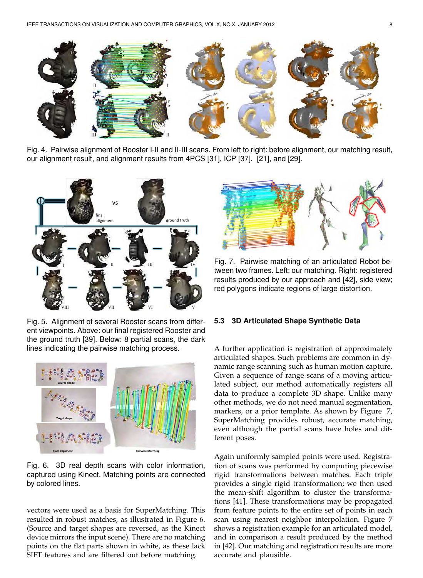

Fig. 4. Pairwise alignment of Rooster I-II and II-III scans. From left to right: before alignment, our matching result, our alignment result, and alignment results from 4PCS [31], ICP [37], [21], and [29].



Fig. 5. Alignment of several Rooster scans from different viewpoints. Above: our final registered Rooster and the ground truth [39]. Below: 8 partial scans, the dark lines indicating the pairwise matching process.



Fig. 6. 3D real depth scans with color information, captured using Kinect. Matching points are connected by colored lines.

vectors were used as a basis for SuperMatching. This resulted in robust matches, as illustrated in Figure 6. (Source and target shapes are reversed, as the Kinect device mirrors the input scene). There are no matching points on the flat parts shown in white, as these lack SIFT features and are filtered out before matching.



Fig. 7. Pairwise matching of an articulated Robot between two frames. Left: our matching. Right: registered results produced by our approach and [42], side view; red polygons indicate regions of large distortion.

### **5.3 3D Articulated Shape Synthetic Data**

A further application is registration of approximately articulated shapes. Such problems are common in dynamic range scanning such as human motion capture. Given a sequence of range scans of a moving articulated subject, our method automatically registers all data to produce a complete 3D shape. Unlike many other methods, we do not need manual segmentation, markers, or a prior template. As shown by Figure 7, SuperMatching provides robust, accurate matching, even although the partial scans have holes and different poses.

Again uniformly sampled points were used. Registration of scans was performed by computing piecewise rigid transformations between matches. Each triple provides a single rigid transformation; we then used the mean-shift algorithm to cluster the transformations [41]. These transformations may be propagated from feature points to the entire set of points in each scan using nearest neighbor interpolation. Figure 7 shows a registration example for an articulated model, and in comparison a result produced by the method in [42]. Our matching and registration results are more accurate and plausible.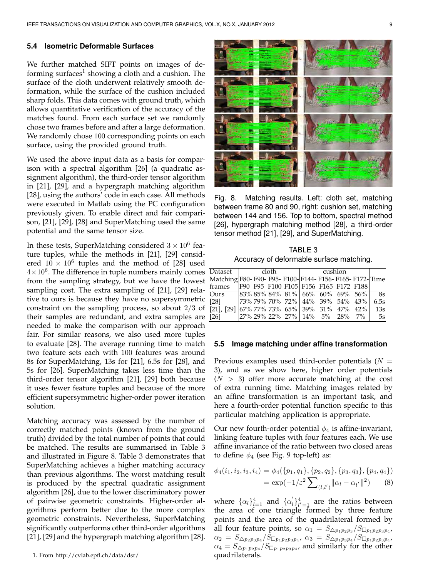#### **5.4 Isometric Deformable Surfaces**

We further matched SIFT points on images of deforming surfaces $^1$  showing a cloth and a cushion. The surface of the cloth underwent relatively smooth deformation, while the surface of the cushion included sharp folds. This data comes with ground truth, which allows quantitative verification of the accuracy of the matches found. From each surface set we randomly chose two frames before and after a large deformation. We randomly chose 100 corresponding points on each surface, using the provided ground truth.

We used the above input data as a basis for comparison with a spectral algorithm [26] (a quadratic assignment algorithm), the third-order tensor algorithm in [21], [29], and a hypergraph matching algorithm [28], using the authors' code in each case. All methods were executed in Matlab using the PC configuration previously given. To enable direct and fair comparison, [21], [29], [28] and SuperMatching used the same potential and the same tensor size.

In these tests, SuperMatching considered  $3 \times 10^6$  feature tuples, while the methods in [21], [29] considered  $10 \times 10^6$  tuples and the method of [28] used  $4 \times 10^6$ . The difference in tuple numbers mainly comes from the sampling strategy, but we have the lowest sampling cost. The extra sampling of [21], [29] relative to ours is because they have no supersymmetric constraint on the sampling process, so about 2/3 of their samples are redundant, and extra samples are needed to make the comparison with our approach fair. For similar reasons, we also used more tuples to evaluate [28]. The average running time to match two feature sets each with 100 features was around 8s for SuperMatching, 13s for [21], 6.5s for [28], and 5s for [26]. SuperMatching takes less time than the third-order tensor algorithm [21], [29] both because it uses fewer feature tuples and because of the more efficient supersymmetric higher-order power iteration solution.

Matching accuracy was assessed by the number of correctly matched points (known from the ground truth) divided by the total number of points that could be matched. The results are summarised in Table 3 and illustrated in Figure 8. Table 3 demonstrates that SuperMatching achieves a higher matching accuracy than previous algorithms. The worst matching result is produced by the spectral quadratic assignment algorithm [26], due to the lower discriminatory power of pairwise geometric constraints. Higher-order algorithms perform better due to the more complex geometric constraints. Nevertheless, SuperMatching significantly outperforms other third-order algorithms [21], [29] and the hypergraph matching algorithm [28].



Fig. 8. Matching results. Left: cloth set, matching between frame 80 and 90, right: cushion set, matching between 144 and 156. Top to bottom, spectral method [26], hypergraph matching method [28], a third-order tensor method [21], [29], and SuperMatching.

TABLE 3 Accuracy of deformable surface matching.

| Dataset                                                    | cloth |  |  | $c$ ushion                                     |  |  |  |  |      |
|------------------------------------------------------------|-------|--|--|------------------------------------------------|--|--|--|--|------|
| Matching F80- F90- F95- F100- F144- F156- F165- F172- Time |       |  |  |                                                |  |  |  |  |      |
| frames F90 F95 F100 F105 F156 F165 F172 F188               |       |  |  |                                                |  |  |  |  |      |
| Ours                                                       |       |  |  | $ 83\% 85\% 84\% 81\%  66\% 60\% 69\% 56\% $   |  |  |  |  | - 8s |
| [28]                                                       |       |  |  | $ 73\% 79\% 70\% 72\%   44\% 39\% 54\% 43\%  $ |  |  |  |  | 6.5s |
| $[21]$ , $[29]$ $[67\%$ 77% 73% 65% 39% 31% 47% 42%        |       |  |  |                                                |  |  |  |  | 13s  |
| [26]                                                       |       |  |  | $ 27\% 29\% 22\% 27\%  14\% 5\% 28\% 7\% $     |  |  |  |  | - 5s |

#### **5.5 Image matching under affine transformation**

Previous examples used third-order potentials  $(N =$ 3), and as we show here, higher order potentials  $(N > 3)$  offer more accurate matching at the cost of extra running time. Matching images related by an affine transformation is an important task, and here a fourth-order potential function specific to this particular matching application is appropriate.

Our new fourth-order potential  $\phi_4$  is affine-invariant, linking feature tuples with four features each. We use affine invariance of the ratio between two closed areas to define  $\phi_4$  (see Fig. 9 top-left) as:

$$
\phi_4(i_1, i_2, i_3, i_4) = \phi_4(\{p_1, q_1\}, \{p_2, q_2\}, \{p_3, q_3\}, \{p_4, q_4\})
$$
  
= 
$$
\exp(-1/\varepsilon^2 \sum_{(l,l')} ||\alpha_l - \alpha_{l'}||^2)
$$
 (8)

where  $\{\alpha_l\}_{l=1}^4$  and  $\{\alpha_l\}$  $\ell_1^{\{1\}}\ell' = 1$  are the ratios between the area of one triangle formed by three feature points and the area of the quadrilateral formed by all four feature points, so  $\alpha_1 = S_{\bigtriangleup p_1 p_2 p_3} / S_{\square p_1 p_2 p_3 p_4}$ ,  $\alpha_{2} \, = \, S_{\bigtriangleup p_{2}p_{3}p_{4}}/S_{\Box p_{1}p_{2}p_{3}p_{4}} , \ \alpha_{3} \, = \, S_{\bigtriangleup p_{1}p_{3}p_{4}}/S_{\Box p_{1}p_{2}p_{3}p_{4}} ,$  $\alpha_4 = S_{\triangle p_1 p_2 p_4} / S_{\square p_1 p_2 p_3 p_4}$ , and similarly for the other quadrilaterals.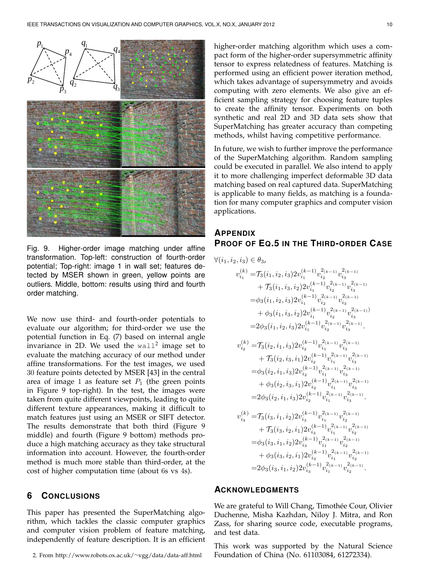

Fig. 9. Higher-order image matching under affine transformation. Top-left: construction of fourth-order potential; Top-right: image 1 in wall set; features detected by MSER shown in green, yellow points are outliers. Middle, bottom: results using third and fourth order matching.

We now use third- and fourth-order potentials to evaluate our algorithm; for third-order we use the potential function in Eq. (7) based on internal angle invariance in 2D. We used the  $wall^2$  image set to evaluate the matching accuracy of our method under affine transformations. For the test images, we used 30 feature points detected by MSER [43] in the central area of image 1 as feature set  $P_1$  (the green points in Figure 9 top-right). In the test, the images were taken from quite different viewpoints, leading to quite different texture appearances, making it difficult to match features just using an MSER or SIFT detector. The results demonstrate that both third (Figure 9 middle) and fourth (Figure 9 bottom) methods produce a high matching accuracy as they take structural information into account. However, the fourth-order method is much more stable than third-order, at the cost of higher computation time (about 6s vs 4s).

# **6 CONCLUSIONS**

This paper has presented the SuperMatching algorithm, which tackles the classic computer graphics and computer vision problem of feature matching, independently of feature description. It is an efficient

2. From http://www.robots.ox.ac.uk/∼vgg/data/data-aff.html

higher-order matching algorithm which uses a compact form of the higher-order supersymmetric affinity tensor to express relatedness of features. Matching is performed using an efficient power iteration method, which takes advantage of supersymmetry and avoids computing with zero elements. We also give an efficient sampling strategy for choosing feature tuples to create the affinity tensor. Experiments on both synthetic and real 2D and 3D data sets show that SuperMatching has greater accuracy than competing methods, whilst having competitive performance.

In future, we wish to further improve the performance of the SuperMatching algorithm. Random sampling could be executed in parallel. We also intend to apply it to more challenging imperfect deformable 3D data matching based on real captured data. SuperMatching is applicable to many fields, as matching is a foundation for many computer graphics and computer vision applications.

# **APPENDIX PROOF OF EQ.5 IN THE THIRD-ORDER CASE**

$$
\begin{aligned} \forall (i_1, i_2, i_3) \in \theta_3, \\ v_{i_1}^{(k)} = & \mathcal{T}_3(i_1, i_2, i_3) 2 v_{i_1}^{(k-1)} v_{i_2}^{2(k-1)} v_{i_3}^{2(k-1)} \\ &+ \mathcal{T}_3(i_1, i_3, i_2) 2 v_{i_1}^{(k-1)} v_{i_2}^{2(k-1)} v_{i_3}^{2(k-1)} \\ = & \phi_3(i_1, i_2, i_3) 2 v_{i_1}^{(k-1)} v_{i_2}^{2(k-1)} v_{i_3}^{2(k-1)} \\ &+ \phi_3(i_1, i_3, i_2) 2 v_{i_1}^{(k-1)} v_{i_2}^{2(k-1)} v_{i_3}^{2(k-1)} \\ = & 2 \phi_3(i_1, i_2, i_3) 2 v_{i_1}^{(k-1)} v_{i_2}^{2(k-1)} v_{i_3}^{2(k-1)} \\ &+ \mathcal{T}_3(i_2, i_3, i_1) 2 v_{i_2}^{(k-1)} v_{i_1}^{2(k-1)} v_{i_3}^{2(k-1)} \\ &+ \mathcal{T}_3(i_2, i_3, i_1) 2 v_{i_2}^{(k-1)} v_{i_1}^{2(k-1)} v_{i_3}^{2(k-1)} \\ = & \phi_3(i_2, i_1, i_3) 2 v_{i_2}^{(k-1)} v_{i_1}^{2(k-1)} v_{i_3}^{2(k-1)} \\ &+ \phi_3(i_2, i_3, i_1) 2 v_{i_2}^{(k-1)} v_{i_1}^{2(k-1)} v_{i_3}^{2(k-1)} \\ = & 2 \phi_3(i_2, i_1, i_3) 2 v_{i_2}^{(k-1)} v_{i_1}^{2(k-1)} v_{i_2}^{2(k-1)} \\ &+ \mathcal{T}_3(i_3, i_1, i_2) 2 v_{i_3}^{(k-1)} v_{i_1}^{2(k-1)} v_{i_2}^{2(k-1)} \\ &+ \mathcal{T}_3(i_3, i_2, i_1) 2 v_{i_3}^{(k-1)} v_{i_1}^{2(k-1)} v_{i_2}^{2(k-1)} \\ = & \phi_3(i_3, i_1, i_2) 2 v_{
$$

# **ACKNOWLEDGMENTS**

We are grateful to Will Chang, Timothée Cour, Olivier Duchenne, Misha Kazhdan, Niloy J. Mitra, and Ron Zass, for sharing source code, executable programs, and test data.

 $\scriptstyle i_1$ 

 $\dot{i}_2$ 

This work was supported by the Natural Science Foundation of China (No. 61103084, 61272334).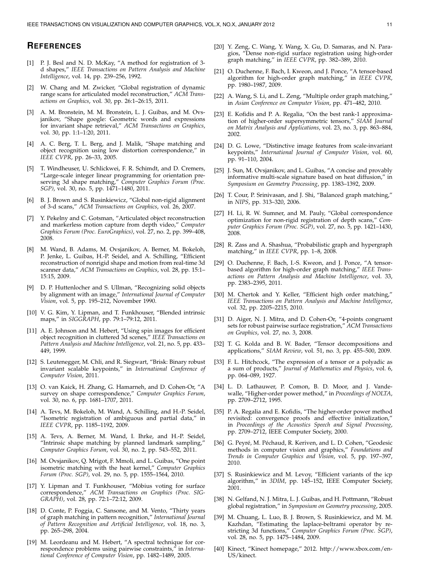# **REFERENCES**

- [1] P. J. Besl and N. D. McKay, "A method for registration of 3 d shapes," *IEEE Transactions on Pattern Analysis and Machine Intelligence*, vol. 14, pp. 239–256, 1992.
- W. Chang and M. Zwicker, "Global registration of dynamic range scans for articulated model reconstruction," *ACM Transactions on Graphics*, vol. 30, pp. 26:1–26:15, 2011.
- [3] A. M. Bronstein, M. M. Bronstein, L. J. Guibas, and M. Ovsjanikov, "Shape google: Geometric words and expressions for invariant shape retrieval," *ACM Transactions on Graphics*, vol. 30, pp. 1:1-1:20, 2011.
- [4] A. C. Berg, T. L. Berg, and J. Malik, "Shape matching and object recognition using low distortion correspondence," in *IEEE CVPR*, pp. 26–33, 2005.
- [5] T. Windheuser, U. Schlickwei, F. R. Schimdt, and D. Cremers, "Large-scale integer linear programming for orientation preserving 3d shape matching," *Computer Graphics Forum (Proc. SGP)*, vol. 30, no. 5, pp. 1471–1480, 2011.
- [6] B. J. Brown and S. Rusinkiewicz, "Global non-rigid alignment of 3-d scans," *ACM Transactions on Graphics*, vol. 26, 2007.
- [7] Y. Pekelny and C. Gotsman, "Articulated object reconstruction and markerless motion capture from depth video," *Computer Graphics Forum (Proc. EuroGraphics)*, vol. 27, no. 2, pp. 399–408, 2008.
- [8] M. Wand, B. Adams, M. Ovsjanikov, A. Berner, M. Bokeloh, P. Jenke, L. Guibas, H.-P. Seidel, and A. Schilling, "Efficient reconstruction of nonrigid shape and motion from real-time 3d scanner data," *ACM Transactions on Graphics*, vol. 28, pp. 15:1– 15:15, 2009.
- [9] D. P. Huttenlocher and S. Ullman, "Recognizing solid objects by alignment with an image," *International Journal of Computer Vision*, vol. 5, pp. 195–212, November 1990.
- [10] V. G. Kim, Y. Lipman, and T. Funkhouser, "Blended intrinsic maps," in *SIGGRAPH*, pp. 79:1–79:12, 2011.
- [11] A. E. Johnson and M. Hebert, "Using spin images for efficient object recognition in cluttered 3d scenes," *IEEE Transactions on Pattern Analysis and Machine Intelligence*, vol. 21, no. 5, pp. 433– 449, 1999.
- [12] S. Leutenegger, M. Chli, and R. Siegwart, "Brisk: Binary robust invariant scalable keypoints," in *International Conference of Computer Vision*, 2011.
- [13] O. van Kaick, H. Zhang, G. Hamarneh, and D. Cohen-Or, "A survey on shape correspondence," *Computer Graphics Forum*, vol. 30, no. 6, pp. 1681–1707, 2011.
- [14] A. Tevs, M. Bokeloh, M. Wand, A. Schilling, and H.-P. Seidel, "Isometric registration of ambiguous and partial data," in *IEEE CVPR*, pp. 1185–1192, 2009.
- [15] A. Tevs, A. Berner, M. Wand, I. Ihrke, and H.-P. Seidel, "Intrinsic shape matching by planned landmark sampling," *Computer Graphics Forum*, vol. 30, no. 2, pp. 543–552, 2011.
- [16] M. Ovsjanikov, Q. Mrigot, F. Mmoli, and L. Guibas, "One point isometric matching with the heat kernel," *Computer Graphics Forum (Proc. SGP)*, vol. 29, no. 5, pp. 1555–1564, 2010.
- [17] Y. Lipman and T. Funkhouser, "Möbius voting for surface correspondence," *ACM Transactions on Graphics (Proc. SIG-GRAPH)*, vol. 28, pp. 72:1–72:12, 2009.
- [18] D. Conte, P. Foggia, C. Sansone, and M. Vento, "Thirty years of graph matching in pattern recognition," *International Journal of Pattern Recognition and Artificial Intelligence*, vol. 18, no. 3, pp. 265–298, 2004.
- [19] M. Leordeanu and M. Hebert, "A spectral technique for correspondence problems using pairwise constraints," in *International Conference of Computer Vision*, pp. 1482–1489, 2005.
- [20] Y. Zeng, C. Wang, Y. Wang, X. Gu, D. Samaras, and N. Paragios, "Dense non-rigid surface registration using high-order graph matching," in *IEEE CVPR*, pp. 382–389, 2010.
- [21] O. Duchenne, F. Bach, I. Kweon, and J. Ponce, "A tensor-based algorithm for high-order graph matching," in *IEEE CVPR*, pp. 1980–1987, 2009.
- [22] A. Wang, S. Li, and L. Zeng, "Multiple order graph matching," in *Asian Conference on Computer Vision*, pp. 471–482, 2010.
- [23] E. Kofidis and P. A. Regalia, "On the best rank-1 approximation of higher-order supersymmetric tensors," *SIAM Journal on Matrix Analysis and Applications*, vol. 23, no. 3, pp. 863–884, 2002.
- [24] D. G. Lowe, "Distinctive image features from scale-invariant keypoints," *International Journal of Computer Vision*, vol. 60, pp. 91–110, 2004.
- [25] J. Sun, M. Ovsjanikov, and L. Guibas, "A concise and provably informative multi-scale signature based on heat diffusion," in *Symposium on Geometry Processing*, pp. 1383–1392, 2009.
- [26] T. Cour, P. Srinivasan, and J. Shi, "Balanced graph matching," in *NIPS*, pp. 313–320, 2006.
- [27] H. Li, R. W. Sumner, and M. Pauly, "Global correspondence optimization for non-rigid registration of depth scans," *Computer Graphics Forum (Proc. SGP)*, vol. 27, no. 5, pp. 1421–1430, 2008.
- [28] R. Zass and A. Shashua, "Probabilistic graph and hypergraph matching," in *IEEE CVPR*, pp. 1–8, 2008.
- [29] O. Duchenne, F. Bach, I.-S. Kweon, and J. Ponce, "A tensorbased algorithm for high-order graph matching," *IEEE Transactions on Pattern Analysis and Machine Intelligence*, vol. 33, pp. 2383–2395, 2011.
- [30] M. Chertok and Y. Keller, "Efficient high order matching," *IEEE Transactions on Pattern Analysis and Machine Intelligence*, vol. 32, pp. 2205–2215, 2010.
- [31] D. Aiger, N. J. Mitra, and D. Cohen-Or, "4-points congruent sets for robust pairwise surface registration," *ACM Transactions on Graphics*, vol. 27, no. 3, 2008.
- [32] T. G. Kolda and B. W. Bader, "Tensor decompositions and applications," *SIAM Review*, vol. 51, no. 3, pp. 455–500, 2009.
- [33] F. L. Hitchcock, "The expression of a tensor or a polyadic as a sum of products," *Journal of Mathematics and Physics*, vol. 6, pp. 064–089, 1927.
- [34] L. D. Lathauwer, P. Comon, B. D. Moor, and J. Vandewalle, "Higher-order power method," in *Proceedings of NOLTA*, pp. 2709–2712, 1995.
- [35] P. A. Regalia and E. Kofidis, "The higher-order power method revisited: convergence proofs and effective initialization," in *Proceedings of the Acoustics Speech and Signal Processing*, pp. 2709–2712, IEEE Computer Society, 2000.
- [36] G. Peyré, M. Péchaud, R. Keriven, and L. D. Cohen, "Geodesic methods in computer vision and graphics," *Foundations and Trends in Computer Graphics and Vision*, vol. 5, pp. 197–397, 2010.
- [37] S. Rusinkiewicz and M. Levoy, "Efficient variants of the icp algorithm," in *3DIM*, pp. 145–152, IEEE Computer Society, 2001.
- [38] N. Gelfand, N. J. Mitra, L. J. Guibas, and H. Pottmann, "Robust global registration," in *Symposium on Geometry processing*, 2005.
- [39] M. Chuang, L. Luo, B. J. Brown, S. Rusinkiewicz, and M. M. Kazhdan, "Estimating the laplace-beltrami operator by restricting 3d functions," *Computer Graphics Forum (Proc. SGP)*, vol. 28, no. 5, pp. 1475–1484, 2009.
- [40] Kinect, "Kinect homepage," 2012. http://www.xbox.com/en-US/kinect.